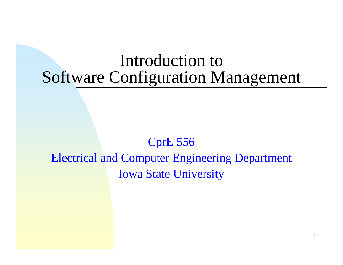### Introduction to Software Configuration Management

#### CprE 556 Electrical and Computer Engineering Department Iowa State University

1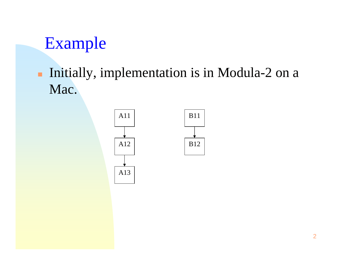#### **Initially, implementation is in Modula-2 on a** Mac.

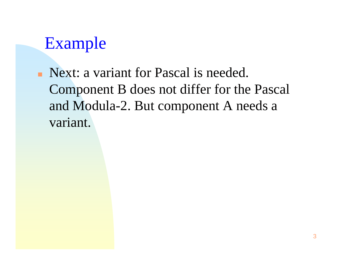• Next: a variant for Pascal is needed. Component B does not differ for the Pascal and Modula-2. But component A needs a variant.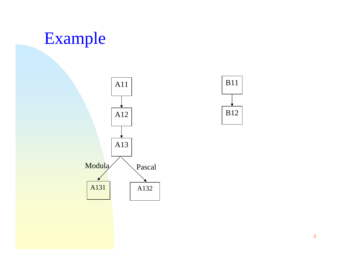

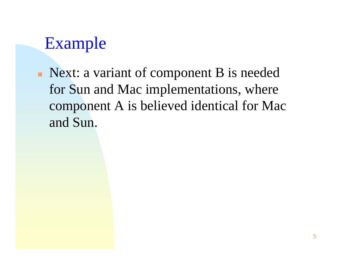• Next: a variant of component B is needed for Sun and Mac implementations, where component A is believed identical for Mac and Sun.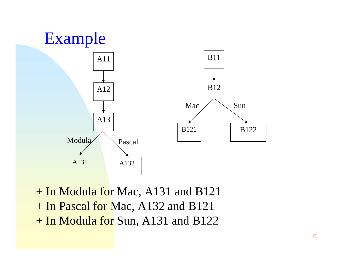

+ In Modula for Mac, A131 and B121 + In Pascal for Mac, A132 and B121 + In Modula for Sun, A131 and B122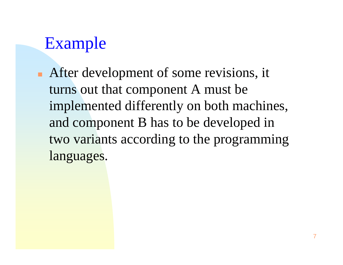$\blacksquare$  After development of some revisions, it turns out that component A must be implemented differently on both machines, and component B has to be developed in two variants according to the programming languages.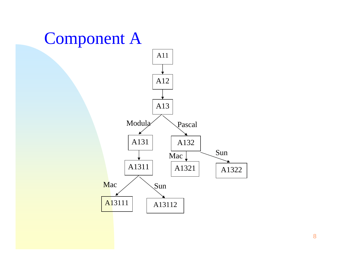## Component A



8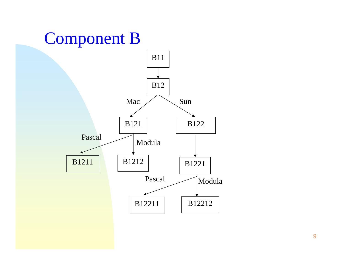# Component B

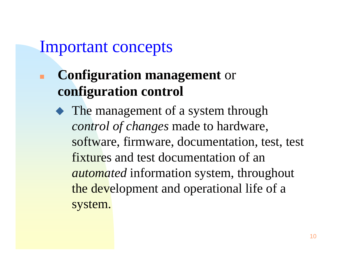### Important concepts

- **Configuration management** or **configuration control**
	- The management of a system through *control of changes* made to hardware, software, firmware, documentation, test, test fixtures and test documentation of an *automated* information system, throughout the development and operational life of a system.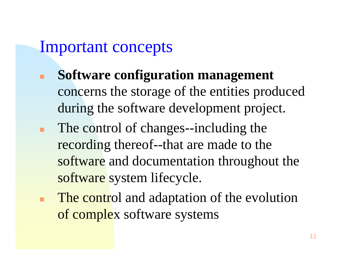### Important concepts

- **Software configuration management** concerns the storage of the entities produced during the software development project.
- The control of changes--including the recording thereof--that are made to the software and documentation throughout the software system lifecycle.
- The control and adaptation of the evolution of complex software systems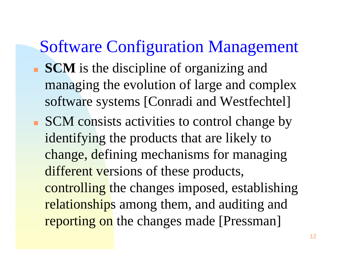### Software Configuration Management

- **SCM** is the discipline of organizing and managing the evolution of large and complex software systems [Conradi and Westfechtel]
- П SCM consists activities to control change by identifying the products that are likely to change, defining mechanisms for managing different versions of these products, controlling the changes imposed, establishing relationships among them, and auditing and reporting on the changes made [Pressman]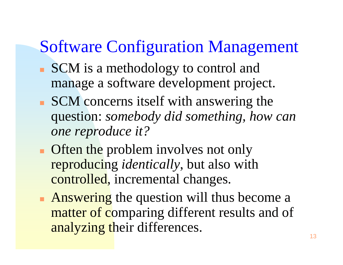## Software Configuration Management

- SCM is a methodology to control and manage a software development project.
- SCM concerns itself with answering the question: *somebody did something, how can one reproduce it?*
- **Often the problem involves not only** reproducing *identically*, but also with controlled, incremental changes.
- k. **Answering** the question will thus become a matter of comparing different results and of analyzing their differences.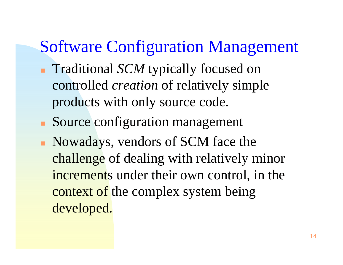### Software Configuration Management

- **Traditional** *SCM* typically focused on controlled *creation* of relatively simple products with only source code.
- **Source configuration management**
- Nowadays, vendors of SCM face the challenge of dealing with relatively minor increments under their own control, in the context of the complex system being developed.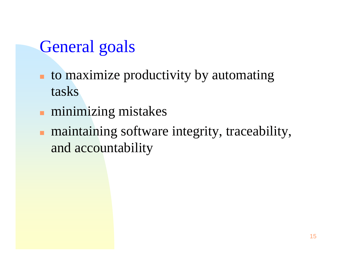## General goals

- **to maximize productivity by automating** tasks
- $\blacksquare$ minimizing mistakes
- **naintaining software integrity, traceability,** and accountability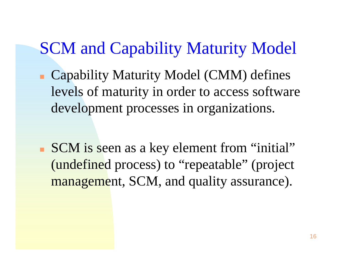# SCM and Capability Maturity Model

- Capability Maturity Model (CMM) defines levels of maturity in order to access software development processes in organizations.
- П SCM is seen as a key element from "initial" (undefined process) to "repeatable" (project management, SCM, and quality assurance).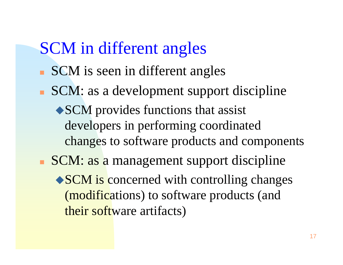# SCM in different angles

- SCM is seen in different angles
- SCM: as a development support discipline
	- SCM provides functions that assist developers in performing coordinated changes to software products and components
- SCM: as a management support discipline
	- SCM is concerned with controlling changes (modifications) to software products (and their software artifacts)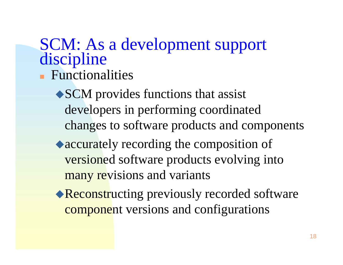# SCM: As a development support discipline

- **Functionalities** 
	- SCM provides functions that assist developers in performing coordinated changes to software products and components
	- accurately recording the composition of versioned software products evolving into many revisions and variants
	- Reconstructing previously recorded software component versions and configurations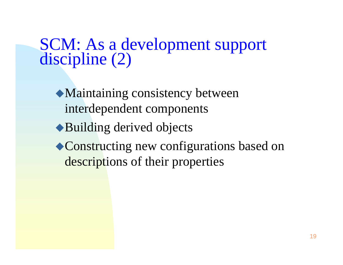# SCM: As a development support<br>discipline (2)

- Maintaining consistency between interdependent components
- ◆Building derived objects
- ◆ Constructing new configurations based on descriptions of their properties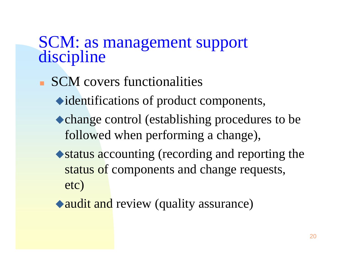# SCM: as management support<br>discipline

- SCM covers functionalities
	- identifications of product components,
	- change control (establishing procedures to be followed when performing a change),
	- status accounting (recording and reporting the status of components and change requests, etc)
	- audit and review (quality assurance)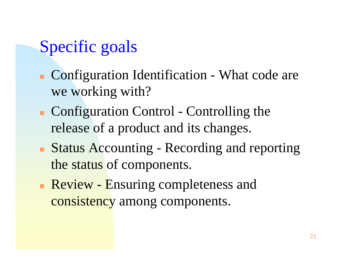# Specific goals

- **Configuration Identification What code are** we working with?
- Configuration Control Controlling the release of a product and its changes.
- **Status Accounting Recording and reporting** the status of components.
- Review Ensuring completeness and consistency among components.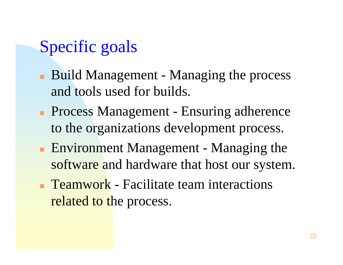# Specific goals

- Build Management Managing the process and tools used for builds.
- **Process Management Ensuring adherence** to the organizations development process.
- **Environment Management Managing the** software and hardware that host our system.
- **Teamwork** Facilitate team interactions related to the process.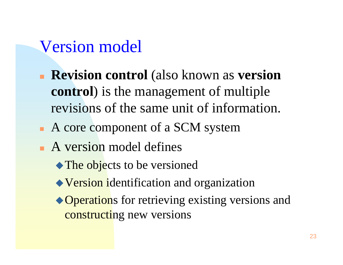## Version model

- **Revision control** (also known as **version control**) is the management of multiple revisions of the same unit of information.
- A core component of a SCM system
- A version model defines
	- The objects to be versioned
	- Version identification and organization
	- ◆ Operations for retrieving existing versions and constructing new versions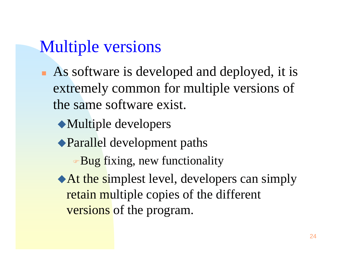## Multiple versions

- **As software is developed and deployed, it is** extremely common for multiple versions of the same software exist.
	- Multiple developers
	- Parallel development paths
		- Bug fixing, new functionality
	- At the simplest level, developers can simply retain multiple copies of the different versions of the program.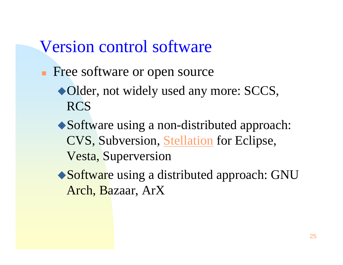### Version control software

- **Free software or open source** 
	- Older, not widely used any more: SCCS, RCS
	- Software using a non-distributed approach: CVS, Subversion, Stellation for Eclipse, Vesta, Superversion
	- ◆ Software using a distributed approach: GNU Arch, Bazaar, ArX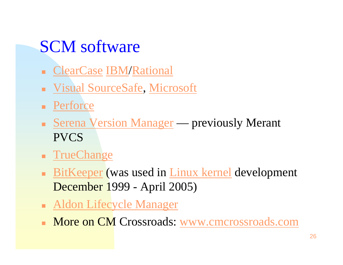# SCM software

- **ClearCase IBM/Rational**
- **Example 3 Island SourceSafe, Microsoft**
- **Perforce**
- **Serena Version Manager previously Merant** PVCS
- **Firmal Engineer Change**
- BitKeeper (was used in Linux kernel development December 1999 - April 2005)
- **Aldon Lifecycle Manager**
- Г More on CM Crossroads: www.cmcrossroads.com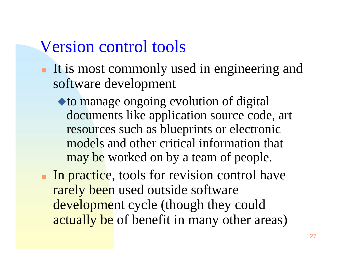### Version control tools

- It is most commonly used in engineering and software development
	- to manage ongoing evolution of digital documents like application source code, art resources such as blueprints or electronic models and other critical information that may be worked on by a team of people.
- In practice, tools for revision control have rarely been used outside software development cycle (though they could actually be of benefit in many other areas)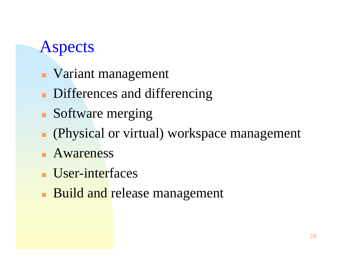# Aspects

- **Variant management**
- **Differences and differencing**
- **Software merging**
- (Physical or virtual) workspace management
- **Awareness**
- **User-interfaces**
- $\Box$ **Build and release management**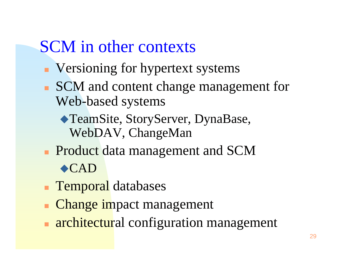## SCM in other contexts

- **Versioning for hypertext systems**
- SCM and content change management for Web-based systems
	- TeamSite, StoryServer, DynaBase, WebDAV, ChangeMan
- **Product data management and SCM** CAD
- Temporal databases
- Change impact management
- k. **architectural configuration management**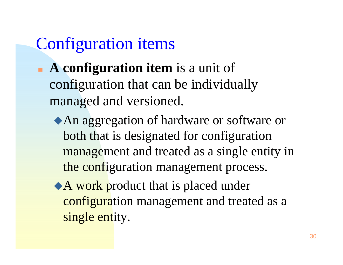# Configuration items

- **A configuration item** is a unit of configuration that can be individually managed and versioned.
	- An aggregation of hardware or software or both that is designated for configuration management and treated as a single entity in the configuration management process.
	- A work product that is placed under configuration management and treated as a single entity.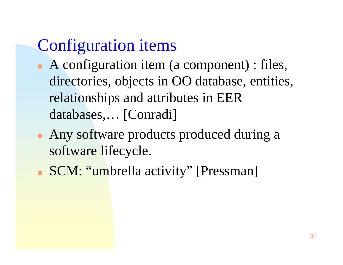# Configuration items

- A configuration item (a component) : files, directories, objects in OO database, entities, relationships and attributes in EER databases,… [Conradi]
- **Any software products produced during a** software lifecycle.
- **SCM: "umbrella activity" [Pressman]**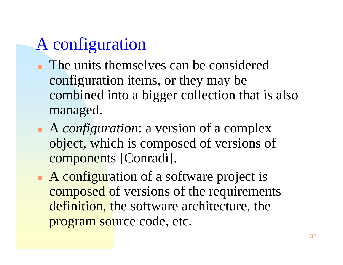# A configuration

- **The units themselves can be considered** configuration items, or they may be combined into a bigger collection that is also managed.
- A *configuration*: a version of a complex object, which is composed of versions of components [Conradi].
- A configuration of a software project is composed of versions of the requirements definition, the software architecture, the program source code, etc.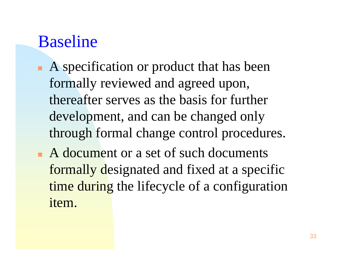## Baseline

- A specification or product that has been formally reviewed and agreed upon, thereafter serves as the basis for further development, and can be changed only through formal change control procedures.
- A document or a set of such documents formally designated and fixed at a specific time during the lifecycle of a configuration item.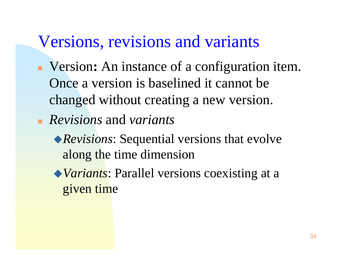### Versions, revisions and variants

- Version **:** An instance of a configuration item. Once a version is baselined it cannot be changed without creating a new version.
- *Revisions* and *variants*
	- *Revisions*: Sequential versions that evolve along the time dimension
	- *Variants*: Parallel versions coexisting at a given time